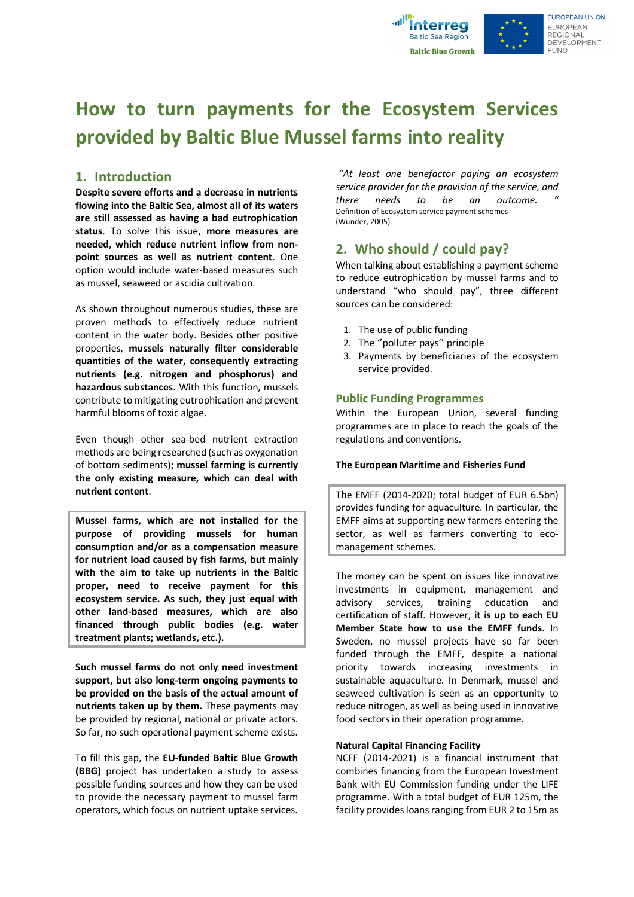

# **How to turn payments for the Ecosystem Services provided by Baltic Blue Mussel farms into reality**

# **1. Introduction**

**Despite severe efforts and a decrease in nutrients flowing into the Baltic Sea, almost all of its waters are still assessed as having a bad eutrophication status**. To solve this issue, **more measures are needed, which reduce nutrient inflow from nonpoint sources as well as nutrient content**. One option would include water-based measures such as mussel, seaweed or ascidia cultivation.

As shown throughout numerous studies, these are proven methods to effectively reduce nutrient content in the water body. Besides other positive properties, **mussels naturally filter considerable quantities of the water, consequently extracting nutrients (e.g. nitrogen and phosphorus) and hazardous substances**. With this function, mussels contribute to mitigating eutrophication and prevent harmful blooms of toxic algae.

Even though other sea-bed nutrient extraction methods are being researched (such as oxygenation of bottom sediments); **mussel farming is currently the only existing measure, which can deal with nutrient content**.

**Mussel farms, which are not installed for the purpose of providing mussels for human consumption and/or as a compensation measure for nutrient load caused by fish farms, but mainly with the aim to take up nutrients in the Baltic proper, need to receive payment for this ecosystem service. As such, they just equal with other land-based measures, which are also financed through public bodies (e.g. water treatment plants; wetlands, etc.).**

**Such mussel farms do not only need investment support, but also long-term ongoing payments to be provided on the basis of the actual amount of nutrients taken up by them.** These payments may be provided by regional, national or private actors. So far, no such operational payment scheme exists.

To fill this gap, the **EU-funded Baltic Blue Growth (BBG)** project has undertaken a study to assess possible funding sources and how they can be used to provide the necessary payment to mussel farm operators, which focus on nutrient uptake services.

*"At least one benefactor paying an ecosystem service provider for the provision of the service, and there needs to be an outcome. "* Definition of Ecosystem service payment schemes (Wunder, 2005)

# **2. Who should / could pay?**

When talking about establishing a payment scheme to reduce eutrophication by mussel farms and to understand "who should pay", three different sources can be considered:

- 1. The use of public funding
- 2. The ''polluter pays'' principle
- 3. Payments by beneficiaries of the ecosystem service provided.

## **Public Funding Programmes**

Within the European Union, several funding programmes are in place to reach the goals of the regulations and conventions.

#### **The European Maritime and Fisheries Fund**

The EMFF (2014-2020; total budget of EUR 6.5bn) provides funding for aquaculture. In particular, the EMFF aims at supporting new farmers entering the sector, as well as farmers converting to ecomanagement schemes.

The money can be spent on issues like innovative investments in equipment, management and advisory services, training education and certification of staff. However, **it is up to each EU Member State how to use the EMFF funds.** In Sweden, no mussel projects have so far been funded through the EMFF, despite a national priority towards increasing investments in sustainable aquaculture. In Denmark, mussel and seaweed cultivation is seen as an opportunity to reduce nitrogen, as well as being used in innovative food sectors in their operation programme.

## **Natural Capital Financing Facility**

NCFF (2014-2021) is a financial instrument that combines financing from the European Investment Bank with EU Commission funding under the LIFE programme. With a total budget of EUR 125m, the facility provides loans ranging from EUR 2 to 15m as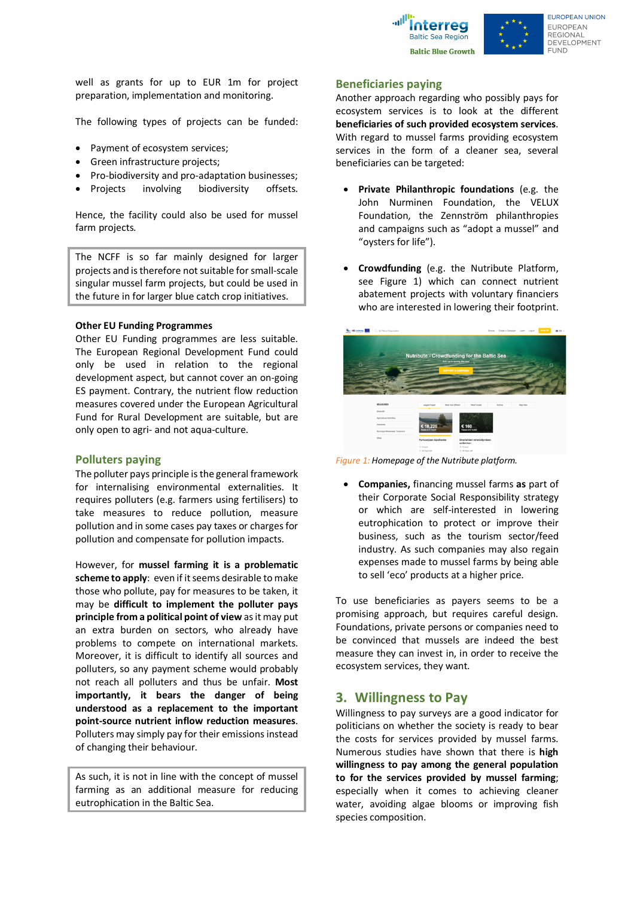



**FUROPEAN UNION EUROPEAN PEGIONAL** DEVELOPMENT **FUND** 

well as grants for up to EUR 1m for project preparation, implementation and monitoring.

The following types of projects can be funded:

- Payment of ecosystem services;
- Green infrastructure projects;
- Pro-biodiversity and pro-adaptation businesses;
- Projects involving biodiversity offsets.

Hence, the facility could also be used for mussel farm projects.

The NCFF is so far mainly designed for larger projects and is therefore not suitable for small-scale singular mussel farm projects, but could be used in the future in for larger blue catch crop initiatives.

#### **Other EU Funding Programmes**

Other EU Funding programmes are less suitable. The European Regional Development Fund could only be used in relation to the regional development aspect, but cannot cover an on-going ES payment. Contrary, the nutrient flow reduction measures covered under the European Agricultural Fund for Rural Development are suitable, but are only open to agri- and not aqua-culture.

## **Polluters paying**

The polluter pays principle is the general framework for internalising environmental externalities. It requires polluters (e.g. farmers using fertilisers) to take measures to reduce pollution, measure pollution and in some cases pay taxes or charges for pollution and compensate for pollution impacts.

However, for **mussel farming it is a problematic scheme to apply**: even if it seems desirable to make those who pollute, pay for measures to be taken, it may be **difficult to implement the polluter pays principle from a political point of view** as it may put an extra burden on sectors, who already have problems to compete on international markets. Moreover, it is difficult to identify all sources and polluters, so any payment scheme would probably not reach all polluters and thus be unfair. **Most importantly, it bears the danger of being understood as a replacement to the important point-source nutrient inflow reduction measures**. Polluters may simply pay for their emissions instead of changing their behaviour.

As such, it is not in line with the concept of mussel farming as an additional measure for reducing eutrophication in the Baltic Sea.

## **Beneficiaries paying**

Another approach regarding who possibly pays for ecosystem services is to look at the different **beneficiaries of such provided ecosystem services**. With regard to mussel farms providing ecosystem services in the form of a cleaner sea, several beneficiaries can be targeted:

- **Private Philanthropic foundations** (e.g. the John Nurminen Foundation, the VELUX Foundation, the Zennström philanthropies and campaigns such as "adopt a mussel" and "oysters for life").
- **Crowdfunding** (e.g. the Nutribute Platform, see Figure 1) which can connect nutrient abatement projects with voluntary financiers who are interested in lowering their footprint.



*Figure 1: Homepage of the Nutribute platform.*

• **Companies,** financing mussel farms **as** part of their Corporate Social Responsibility strategy or which are self-interested in lowering eutrophication to protect or improve their business, such as the tourism sector/feed industry. As such companies may also regain expenses made to mussel farms by being able to sell 'eco' products at a higher price.

To use beneficiaries as payers seems to be a promising approach, but requires careful design. Foundations, private persons or companies need to be convinced that mussels are indeed the best measure they can invest in, in order to receive the ecosystem services, they want.

# **3. Willingness to Pay**

Willingness to pay surveys are a good indicator for politicians on whether the society is ready to bear the costs for services provided by mussel farms. Numerous studies have shown that there is **high willingness to pay among the general population to for the services provided by mussel farming**; especially when it comes to achieving cleaner water, avoiding algae blooms or improving fish species composition.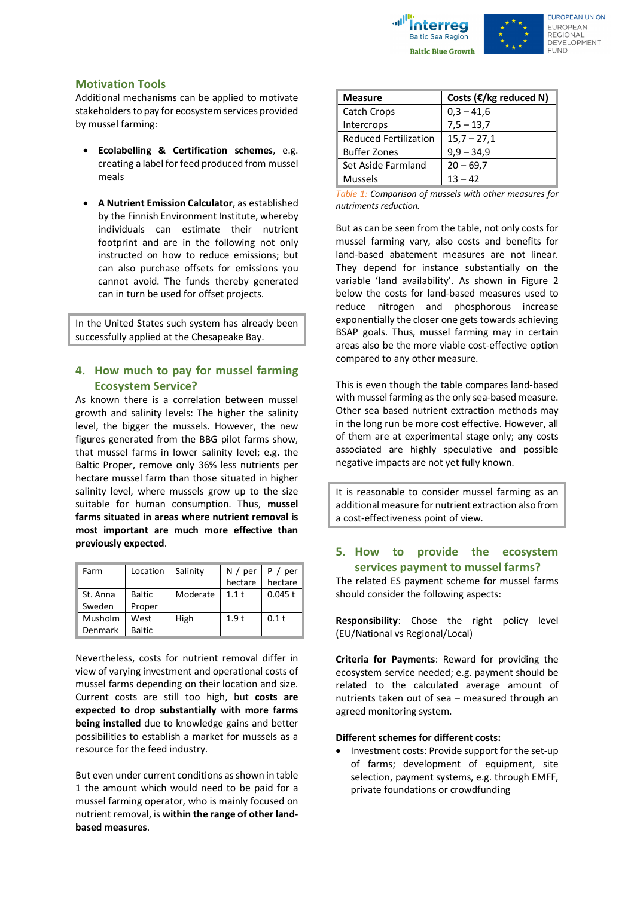



## **Motivation Tools**

Additional mechanisms can be applied to motivate stakeholders to pay for ecosystem services provided by mussel farming:

- **Ecolabelling & Certification schemes**, e.g. creating a label for feed produced from mussel meals
- **A Nutrient Emission Calculator**, as established by the Finnish Environment Institute, whereby individuals can estimate their nutrient footprint and are in the following not only instructed on how to reduce emissions; but can also purchase offsets for emissions you cannot avoid. The funds thereby generated can in turn be used for offset projects.

In the United States such system has already been successfully applied at the Chesapeake Bay.

## **4. How much to pay for mussel farming Ecosystem Service?**

As known there is a correlation between mussel growth and salinity levels: The higher the salinity level, the bigger the mussels. However, the new figures generated from the BBG pilot farms show, that mussel farms in lower salinity level; e.g. the Baltic Proper, remove only 36% less nutrients per hectare mussel farm than those situated in higher salinity level, where mussels grow up to the size suitable for human consumption. Thus, **mussel farms situated in areas where nutrient removal is most important are much more effective than previously expected**.

| Farm     | Location      | Salinity | N / per | P /<br>per |
|----------|---------------|----------|---------|------------|
|          |               |          | hectare | hectare    |
| St. Anna | <b>Baltic</b> | Moderate | 1.1 t   | 0.045 t    |
| Sweden   | Proper        |          |         |            |
| Musholm  | West          | High     | 1.9t    | 0.1t       |
| Denmark  | <b>Baltic</b> |          |         |            |

Nevertheless, costs for nutrient removal differ in view of varying investment and operational costs of mussel farms depending on their location and size. Current costs are still too high, but **costs are expected to drop substantially with more farms being installed** due to knowledge gains and better possibilities to establish a market for mussels as a resource for the feed industry.

But even under current conditions as shown in table 1 the amount which would need to be paid for a mussel farming operator, who is mainly focused on nutrient removal, is **within the range of other landbased measures**.

| <b>Measure</b>               | Costs ( $E/kg$ reduced N) |  |  |
|------------------------------|---------------------------|--|--|
| Catch Crops                  | $0,3 - 41,6$              |  |  |
| Intercrops                   | $7,5 - 13,7$              |  |  |
| <b>Reduced Fertilization</b> | $15,7 - 27,1$             |  |  |
| <b>Buffer Zones</b>          | $9,9 - 34,9$              |  |  |
| Set Aside Farmland           | $20 - 69,7$               |  |  |
| Mussels                      | $13 - 42$                 |  |  |

*Table 1: Comparison of mussels with other measures for nutriments reduction.*

But as can be seen from the table, not only costs for mussel farming vary, also costs and benefits for land-based abatement measures are not linear. They depend for instance substantially on the variable 'land availability'. As shown in Figure 2 below the costs for land-based measures used to reduce nitrogen and phosphorous increase exponentially the closer one gets towards achieving BSAP goals. Thus, mussel farming may in certain areas also be the more viable cost-effective option compared to any other measure.

This is even though the table compares land-based with mussel farming as the only sea-based measure. Other sea based nutrient extraction methods may in the long run be more cost effective. However, all of them are at experimental stage only; any costs associated are highly speculative and possible negative impacts are not yet fully known.

It is reasonable to consider mussel farming as an additional measure for nutrient extraction also from a cost-effectiveness point of view.

## **5. How to provide the ecosystem services payment to mussel farms?**

The related ES payment scheme for mussel farms should consider the following aspects:

**Responsibility**: Chose the right policy level (EU/National vs Regional/Local)

**Criteria for Payments**: Reward for providing the ecosystem service needed; e.g. payment should be related to the calculated average amount of nutrients taken out of sea – measured through an agreed monitoring system.

#### **Different schemes for different costs:**

• Investment costs: Provide support for the set-up of farms; development of equipment, site selection, payment systems, e.g. through EMFF, private foundations or crowdfunding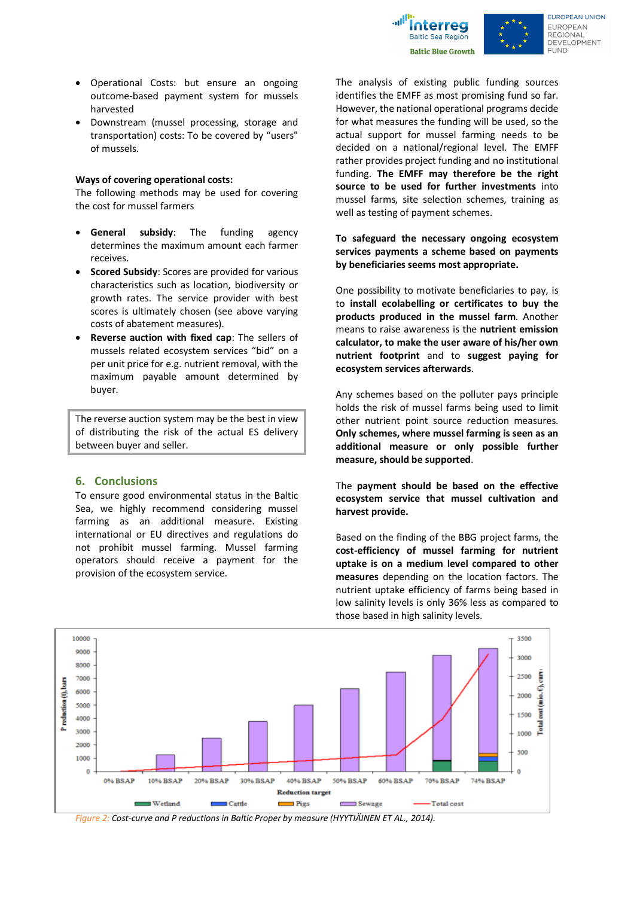



- Operational Costs: but ensure an ongoing outcome-based payment system for mussels harvested
- Downstream (mussel processing, storage and transportation) costs: To be covered by "users" of mussels.

#### **Ways of covering operational costs:**

The following methods may be used for covering the cost for mussel farmers

- **General subsidy:** The funding agency determines the maximum amount each farmer receives.
- **Scored Subsidy:** Scores are provided for various characteristics such as location, biodiversity or growth rates. The service provider with best scores is ultimately chosen (see above varying costs of abatement measures).
- **Reverse auction with fixed cap**: The sellers of mussels related ecosystem services "bid" on a per unit price for e.g. nutrient removal, with the maximum payable amount determined by buyer.

The reverse auction system may be the best in view of distributing the risk of the actual ES delivery between buyer and seller.

#### **6. Conclusions**

To ensure good environmental status in the Baltic Sea, we highly recommend considering mussel farming as an additional measure. Existing international or EU directives and regulations do not prohibit mussel farming. Mussel farming operators should receive a payment for the provision of the ecosystem service.

The analysis of existing public funding sources identifies the EMFF as most promising fund so far. However, the national operational programs decide for what measures the funding will be used, so the actual support for mussel farming needs to be decided on a national/regional level. The EMFF rather provides project funding and no institutional funding. **The EMFF may therefore be the right source to be used for further investments** into mussel farms, site selection schemes, training as well as testing of payment schemes.

### **To safeguard the necessary ongoing ecosystem services payments a scheme based on payments by beneficiaries seems most appropriate.**

One possibility to motivate beneficiaries to pay, is to **install ecolabelling or certificates to buy the products produced in the mussel farm**. Another means to raise awareness is the **nutrient emission calculator, to make the user aware of his/her own nutrient footprint** and to **suggest paying for ecosystem services afterwards**.

Any schemes based on the polluter pays principle holds the risk of mussel farms being used to limit other nutrient point source reduction measures. **Only schemes, where mussel farming is seen as an additional measure or only possible further measure, should be supported**.

The **payment should be based on the effective ecosystem service that mussel cultivation and harvest provide.** 

Based on the finding of the BBG project farms, the **cost-efficiency of mussel farming for nutrient uptake is on a medium level compared to other measures** depending on the location factors. The nutrient uptake efficiency of farms being based in low salinity levels is only 36% less as compared to those based in high salinity levels.



*Figure 2: Cost-curve and P reductions in Baltic Proper by measure (HYYTIÄINEN ET AL., 2014).*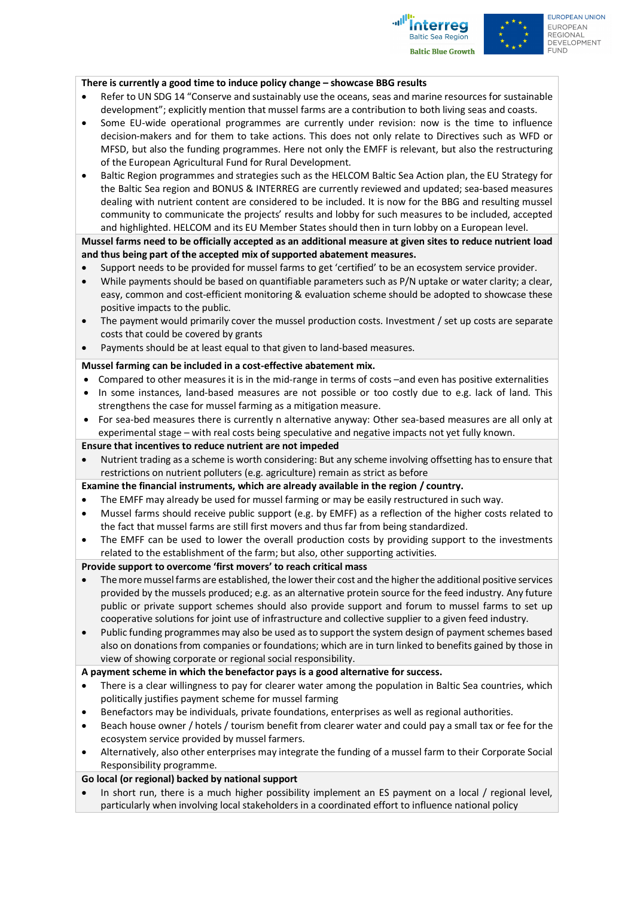



## **There is currently a good time to induce policy change – showcase BBG results**

- Refer to UN SDG 14 "Conserve and sustainably use the oceans, seas and marine resources for sustainable development"; explicitly mention that mussel farms are a contribution to both living seas and coasts.
- Some EU-wide operational programmes are currently under revision: now is the time to influence decision-makers and for them to take actions. This does not only relate to Directives such as WFD or MFSD, but also the funding programmes. Here not only the EMFF is relevant, but also the restructuring of the European Agricultural Fund for Rural Development.
- Baltic Region programmes and strategies such as the HELCOM Baltic Sea Action plan, the EU Strategy for the Baltic Sea region and BONUS & INTERREG are currently reviewed and updated; sea-based measures dealing with nutrient content are considered to be included. It is now for the BBG and resulting mussel community to communicate the projects' results and lobby for such measures to be included, accepted and highlighted. HELCOM and its EU Member States should then in turn lobby on a European level.

## **Mussel farms need to be officially accepted as an additional measure at given sites to reduce nutrient load and thus being part of the accepted mix of supported abatement measures.**

- Support needs to be provided for mussel farms to get 'certified' to be an ecosystem service provider.
- While payments should be based on quantifiable parameters such as P/N uptake or water clarity; a clear, easy, common and cost-efficient monitoring & evaluation scheme should be adopted to showcase these positive impacts to the public.
- The payment would primarily cover the mussel production costs. Investment / set up costs are separate costs that could be covered by grants
- Payments should be at least equal to that given to land-based measures.

# **Mussel farming can be included in a cost-effective abatement mix.**

- Compared to other measures it is in the mid-range in terms of costs –and even has positive externalities
- In some instances, land-based measures are not possible or too costly due to e.g. lack of land. This strengthens the case for mussel farming as a mitigation measure.
- For sea-bed measures there is currently n alternative anyway: Other sea-based measures are all only at experimental stage – with real costs being speculative and negative impacts not yet fully known.

# **Ensure that incentives to reduce nutrient are not impeded**

• Nutrient trading as a scheme is worth considering: But any scheme involving offsetting has to ensure that restrictions on nutrient polluters (e.g. agriculture) remain as strict as before

# **Examine the financial instruments, which are already available in the region / country.**

- The EMFF may already be used for mussel farming or may be easily restructured in such way.
- Mussel farms should receive public support (e.g. by EMFF) as a reflection of the higher costs related to the fact that mussel farms are still first movers and thus far from being standardized.
- The EMFF can be used to lower the overall production costs by providing support to the investments related to the establishment of the farm; but also, other supporting activities.

# **Provide support to overcome 'first movers' to reach critical mass**

- The more mussel farms are established, the lower their cost and the higher the additional positive services provided by the mussels produced; e.g. as an alternative protein source for the feed industry. Any future public or private support schemes should also provide support and forum to mussel farms to set up cooperative solutions for joint use of infrastructure and collective supplier to a given feed industry.
- Public funding programmes may also be used as to support the system design of payment schemes based also on donations from companies or foundations; which are in turn linked to benefits gained by those in view of showing corporate or regional social responsibility.

# **A payment scheme in which the benefactor pays is a good alternative for success.**

- There is a clear willingness to pay for clearer water among the population in Baltic Sea countries, which politically justifies payment scheme for mussel farming
- Benefactors may be individuals, private foundations, enterprises as well as regional authorities.
- Beach house owner / hotels / tourism benefit from clearer water and could pay a small tax or fee for the ecosystem service provided by mussel farmers.
- Alternatively, also other enterprises may integrate the funding of a mussel farm to their Corporate Social Responsibility programme.

# **Go local (or regional) backed by national support**

In short run, there is a much higher possibility implement an ES payment on a local / regional level, particularly when involving local stakeholders in a coordinated effort to influence national policy